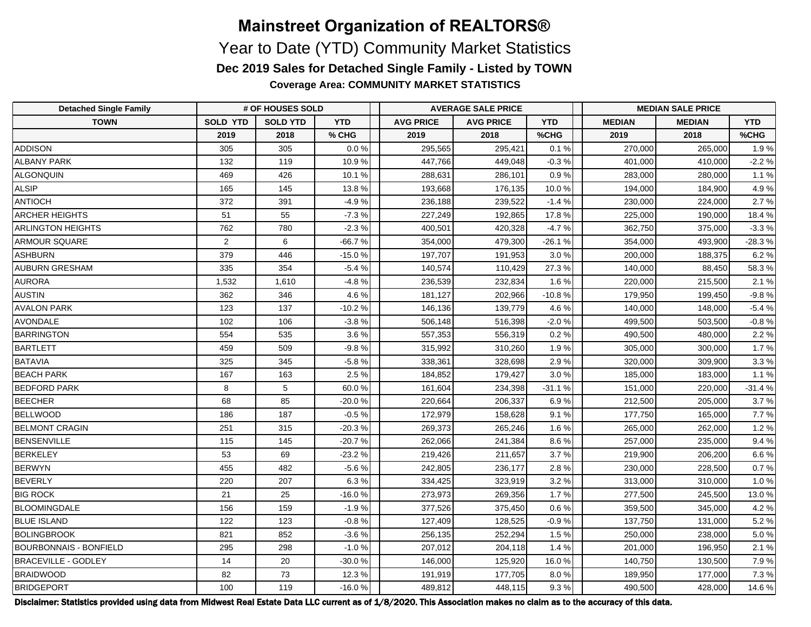**Coverage Area: COMMUNITY MARKET STATISTICS**

| <b>Detached Single Family</b> | # OF HOUSES SOLD |                 |            | <b>AVERAGE SALE PRICE</b> |                  |            | <b>MEDIAN SALE PRICE</b> |               |            |
|-------------------------------|------------------|-----------------|------------|---------------------------|------------------|------------|--------------------------|---------------|------------|
| <b>TOWN</b>                   | <b>SOLD YTD</b>  | <b>SOLD YTD</b> | <b>YTD</b> | <b>AVG PRICE</b>          | <b>AVG PRICE</b> | <b>YTD</b> | <b>MEDIAN</b>            | <b>MEDIAN</b> | <b>YTD</b> |
|                               | 2019             | 2018            | % CHG      | 2019                      | 2018             | %CHG       | 2019                     | 2018          | %CHG       |
| <b>ADDISON</b>                | 305              | 305             | 0.0%       | 295,565                   | 295,421          | 0.1%       | 270,000                  | 265,000       | 1.9%       |
| <b>ALBANY PARK</b>            | 132              | 119             | 10.9%      | 447,766                   | 449,048          | $-0.3%$    | 401,000                  | 410,000       | $-2.2%$    |
| <b>ALGONQUIN</b>              | 469              | 426             | 10.1%      | 288,631                   | 286,101          | 0.9%       | 283,000                  | 280,000       | 1.1%       |
| <b>ALSIP</b>                  | 165              | 145             | 13.8%      | 193,668                   | 176,135          | 10.0%      | 194,000                  | 184,900       | 4.9%       |
| <b>ANTIOCH</b>                | 372              | 391             | $-4.9%$    | 236,188                   | 239,522          | $-1.4%$    | 230,000                  | 224,000       | 2.7%       |
| ARCHER HEIGHTS                | 51               | 55              | $-7.3%$    | 227,249                   | 192,865          | 17.8%      | 225,000                  | 190,000       | 18.4%      |
| <b>ARLINGTON HEIGHTS</b>      | 762              | 780             | $-2.3%$    | 400,501                   | 420,328          | $-4.7%$    | 362,750                  | 375,000       | $-3.3%$    |
| <b>ARMOUR SQUARE</b>          | $\overline{2}$   | 6               | $-66.7%$   | 354,000                   | 479,300          | $-26.1%$   | 354,000                  | 493,900       | $-28.3%$   |
| ASHBURN                       | 379              | 446             | $-15.0%$   | 197,707                   | 191,953          | 3.0%       | 200,000                  | 188,375       | 6.2%       |
| <b>AUBURN GRESHAM</b>         | 335              | 354             | $-5.4%$    | 140,574                   | 110,429          | 27.3%      | 140,000                  | 88,450        | 58.3%      |
| <b>AURORA</b>                 | 1,532            | 1,610           | $-4.8%$    | 236,539                   | 232,834          | 1.6%       | 220,000                  | 215,500       | 2.1%       |
| <b>AUSTIN</b>                 | 362              | 346             | 4.6%       | 181,127                   | 202,966          | $-10.8%$   | 179,950                  | 199,450       | $-9.8%$    |
| <b>AVALON PARK</b>            | 123              | 137             | $-10.2%$   | 146,136                   | 139,779          | 4.6%       | 140,000                  | 148,000       | $-5.4%$    |
| <b>AVONDALE</b>               | 102              | 106             | $-3.8%$    | 506,148                   | 516,398          | $-2.0%$    | 499,500                  | 503,500       | $-0.8%$    |
| <b>BARRINGTON</b>             | 554              | 535             | 3.6%       | 557,353                   | 556,319          | 0.2%       | 490,500                  | 480,000       | 2.2%       |
| BARTLETT                      | 459              | 509             | $-9.8%$    | 315,992                   | 310,260          | 1.9%       | 305,000                  | 300,000       | 1.7%       |
| BATAVIA                       | 325              | 345             | $-5.8%$    | 338,361                   | 328,698          | 2.9%       | 320,000                  | 309,900       | 3.3%       |
| <b>BEACH PARK</b>             | 167              | 163             | 2.5%       | 184,852                   | 179,427          | 3.0%       | 185,000                  | 183,000       | 1.1%       |
| <b>BEDFORD PARK</b>           | 8                | 5               | 60.0%      | 161,604                   | 234,398          | $-31.1%$   | 151,000                  | 220,000       | $-31.4%$   |
| <b>BEECHER</b>                | 68               | 85              | $-20.0%$   | 220,664                   | 206,337          | 6.9%       | 212,500                  | 205,000       | 3.7%       |
| <b>BELLWOOD</b>               | 186              | 187             | $-0.5%$    | 172,979                   | 158,628          | 9.1%       | 177,750                  | 165,000       | 7.7%       |
| <b>BELMONT CRAGIN</b>         | 251              | 315             | $-20.3%$   | 269,373                   | 265,246          | 1.6%       | 265,000                  | 262,000       | 1.2%       |
| BENSENVILLE                   | 115              | 145             | $-20.7%$   | 262,066                   | 241,384          | 8.6%       | 257,000                  | 235,000       | 9.4%       |
| BERKELEY                      | 53               | 69              | $-23.2%$   | 219,426                   | 211,657          | 3.7%       | 219,900                  | 206,200       | 6.6%       |
| <b>BERWYN</b>                 | 455              | 482             | $-5.6%$    | 242,805                   | 236,177          | 2.8%       | 230,000                  | 228,500       | 0.7%       |
| <b>BEVERLY</b>                | 220              | 207             | 6.3%       | 334,425                   | 323,919          | 3.2%       | 313,000                  | 310,000       | 1.0%       |
| <b>BIG ROCK</b>               | 21               | 25              | $-16.0%$   | 273,973                   | 269,356          | 1.7%       | 277,500                  | 245,500       | 13.0%      |
| BLOOMINGDALE                  | 156              | 159             | $-1.9%$    | 377,526                   | 375,450          | 0.6%       | 359,500                  | 345,000       | 4.2%       |
| <b>BLUE ISLAND</b>            | 122              | 123             | $-0.8%$    | 127,409                   | 128,525          | $-0.9%$    | 137,750                  | 131,000       | 5.2%       |
| <b>BOLINGBROOK</b>            | 821              | 852             | $-3.6%$    | 256,135                   | 252,294          | 1.5%       | 250,000                  | 238,000       | $5.0\,\%$  |
| <b>BOURBONNAIS - BONFIELD</b> | 295              | 298             | $-1.0%$    | 207,012                   | 204,118          | 1.4%       | 201,000                  | 196,950       | 2.1%       |
| <b>BRACEVILLE - GODLEY</b>    | 14               | 20              | $-30.0%$   | 146,000                   | 125,920          | 16.0%      | 140,750                  | 130,500       | 7.9%       |
| <b>BRAIDWOOD</b>              | 82               | 73              | 12.3%      | 191,919                   | 177,705          | 8.0%       | 189,950                  | 177,000       | 7.3%       |
| BRIDGEPORT                    | 100              | 119             | $-16.0%$   | 489,812                   | 448,115          | 9.3%       | 490,500                  | 428,000       | 14.6 %     |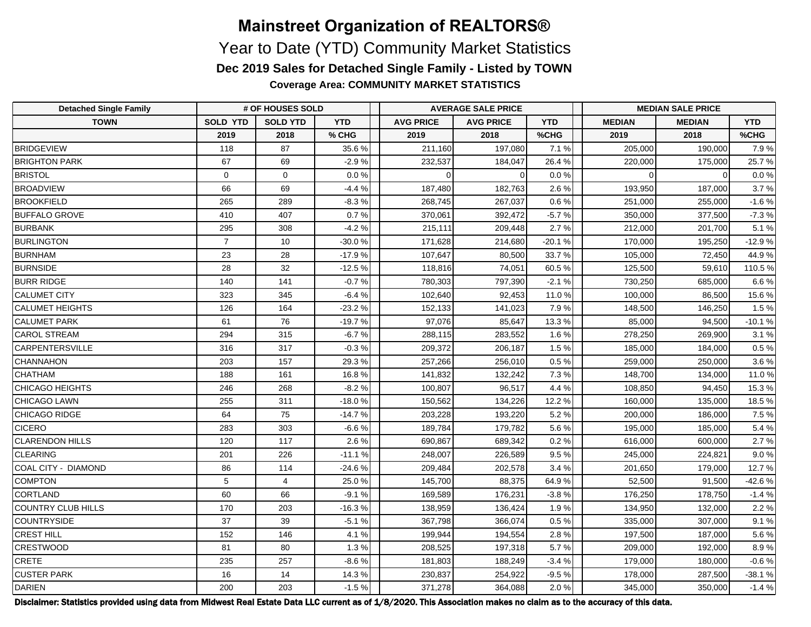**Coverage Area: COMMUNITY MARKET STATISTICS**

| <b>Detached Single Family</b> | # OF HOUSES SOLD |                 |            | <b>AVERAGE SALE PRICE</b> |                  |            | <b>MEDIAN SALE PRICE</b> |               |            |  |
|-------------------------------|------------------|-----------------|------------|---------------------------|------------------|------------|--------------------------|---------------|------------|--|
| <b>TOWN</b>                   | <b>SOLD YTD</b>  | <b>SOLD YTD</b> | <b>YTD</b> | <b>AVG PRICE</b>          | <b>AVG PRICE</b> | <b>YTD</b> | <b>MEDIAN</b>            | <b>MEDIAN</b> | <b>YTD</b> |  |
|                               | 2019             | 2018            | % CHG      | 2019                      | 2018             | %CHG       | 2019                     | 2018          | %CHG       |  |
| BRIDGEVIEW                    | 118              | 87              | 35.6%      | 211,160                   | 197,080          | 7.1%       | 205,000                  | 190,000       | 7.9%       |  |
| <b>BRIGHTON PARK</b>          | 67               | 69              | $-2.9%$    | 232,537                   | 184.047          | 26.4%      | 220,000                  | 175,000       | 25.7%      |  |
| <b>BRISTOL</b>                | $\mathbf 0$      | $\mathbf{0}$    | 0.0 %      | $\Omega$                  | $\Omega$         | 0.0%       | 0                        | $\Omega$      | $0.0\,\%$  |  |
| <b>BROADVIEW</b>              | 66               | 69              | $-4.4%$    | 187,480                   | 182,763          | 2.6%       | 193,950                  | 187,000       | 3.7%       |  |
| <b>BROOKFIELD</b>             | 265              | 289             | $-8.3%$    | 268,745                   | 267,037          | 0.6%       | 251,000                  | 255,000       | $-1.6%$    |  |
| <b>BUFFALO GROVE</b>          | 410              | 407             | 0.7%       | 370,061                   | 392,472          | $-5.7%$    | 350,000                  | 377,500       | $-7.3%$    |  |
| <b>BURBANK</b>                | 295              | 308             | $-4.2%$    | 215,111                   | 209,448          | 2.7%       | 212,000                  | 201,700       | 5.1%       |  |
| <b>BURLINGTON</b>             | $\overline{7}$   | 10              | $-30.0%$   | 171,628                   | 214,680          | $-20.1%$   | 170,000                  | 195,250       | $-12.9%$   |  |
| <b>BURNHAM</b>                | 23               | 28              | $-17.9%$   | 107,647                   | 80,500           | 33.7%      | 105,000                  | 72,450        | 44.9%      |  |
| <b>BURNSIDE</b>               | 28               | 32              | $-12.5%$   | 118,816                   | 74,051           | 60.5%      | 125,500                  | 59,610        | 110.5 %    |  |
| <b>BURR RIDGE</b>             | 140              | 141             | $-0.7%$    | 780,303                   | 797,390          | $-2.1%$    | 730,250                  | 685,000       | 6.6 %      |  |
| <b>CALUMET CITY</b>           | 323              | 345             | $-6.4%$    | 102,640                   | 92.453           | 11.0 %     | 100,000                  | 86.500        | 15.6 %     |  |
| <b>CALUMET HEIGHTS</b>        | 126              | 164             | $-23.2%$   | 152,133                   | 141,023          | 7.9%       | 148,500                  | 146,250       | 1.5%       |  |
| <b>CALUMET PARK</b>           | 61               | 76              | $-19.7%$   | 97,076                    | 85,647           | 13.3%      | 85,000                   | 94,500        | $-10.1%$   |  |
| <b>CAROL STREAM</b>           | 294              | 315             | $-6.7%$    | 288,115                   | 283,552          | 1.6%       | 278,250                  | 269,900       | 3.1%       |  |
| <b>CARPENTERSVILLE</b>        | 316              | 317             | $-0.3%$    | 209,372                   | 206,187          | 1.5%       | 185,000                  | 184,000       | 0.5%       |  |
| CHANNAHON                     | 203              | 157             | 29.3%      | 257,266                   | 256,010          | 0.5%       | 259,000                  | 250,000       | 3.6%       |  |
| <b>CHATHAM</b>                | 188              | 161             | 16.8%      | 141,832                   | 132,242          | 7.3%       | 148,700                  | 134,000       | 11.0%      |  |
| CHICAGO HEIGHTS               | 246              | 268             | $-8.2%$    | 100,807                   | 96,517           | 4.4%       | 108,850                  | 94.450        | 15.3%      |  |
| CHICAGO LAWN                  | 255              | 311             | $-18.0%$   | 150,562                   | 134,226          | 12.2%      | 160,000                  | 135,000       | 18.5%      |  |
| CHICAGO RIDGE                 | 64               | 75              | $-14.7%$   | 203,228                   | 193,220          | 5.2%       | 200,000                  | 186,000       | 7.5%       |  |
| <b>CICERO</b>                 | 283              | 303             | $-6.6%$    | 189,784                   | 179,782          | 5.6%       | 195,000                  | 185,000       | 5.4%       |  |
| <b>CLARENDON HILLS</b>        | 120              | 117             | 2.6%       | 690,867                   | 689,342          | 0.2%       | 616,000                  | 600,000       | 2.7%       |  |
| <b>CLEARING</b>               | 201              | 226             | $-11.1%$   | 248,007                   | 226,589          | 9.5%       | 245,000                  | 224,821       | 9.0%       |  |
| COAL CITY - DIAMOND           | 86               | 114             | $-24.6%$   | 209,484                   | 202,578          | 3.4%       | 201,650                  | 179,000       | 12.7%      |  |
| COMPTON                       | 5                | $\overline{4}$  | 25.0%      | 145,700                   | 88,375           | 64.9%      | 52,500                   | 91,500        | $-42.6%$   |  |
| CORTLAND                      | 60               | 66              | $-9.1%$    | 169,589                   | 176,231          | $-3.8%$    | 176,250                  | 178,750       | $-1.4%$    |  |
| COUNTRY CLUB HILLS            | 170              | 203             | $-16.3%$   | 138,959                   | 136,424          | 1.9%       | 134,950                  | 132,000       | 2.2%       |  |
| COUNTRYSIDE                   | 37               | 39              | $-5.1%$    | 367,798                   | 366,074          | 0.5%       | 335,000                  | 307,000       | 9.1%       |  |
| <b>CREST HILL</b>             | 152              | 146             | 4.1%       | 199,944                   | 194,554          | 2.8%       | 197,500                  | 187,000       | 5.6%       |  |
| <b>CRESTWOOD</b>              | 81               | 80              | 1.3%       | 208,525                   | 197,318          | 5.7%       | 209,000                  | 192,000       | 8.9%       |  |
| <b>CRETE</b>                  | 235              | 257             | $-8.6%$    | 181,803                   | 188,249          | $-3.4%$    | 179,000                  | 180,000       | $-0.6%$    |  |
| <b>CUSTER PARK</b>            | 16               | 14              | 14.3%      | 230,837                   | 254,922          | $-9.5%$    | 178,000                  | 287,500       | $-38.1%$   |  |
| DARIEN                        | 200              | 203             | $-1.5%$    | 371,278                   | 364,088          | 2.0%       | 345,000                  | 350,000       | $-1.4%$    |  |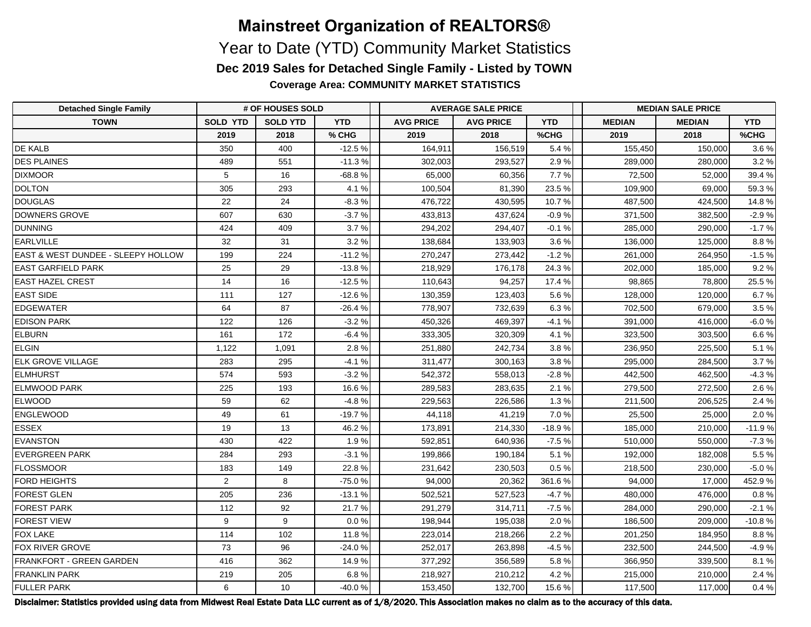**Coverage Area: COMMUNITY MARKET STATISTICS**

| <b>Detached Single Family</b>                 | # OF HOUSES SOLD |                 |            | <b>AVERAGE SALE PRICE</b> |                  |            | <b>MEDIAN SALE PRICE</b> |               |            |  |
|-----------------------------------------------|------------------|-----------------|------------|---------------------------|------------------|------------|--------------------------|---------------|------------|--|
| <b>TOWN</b>                                   | <b>SOLD YTD</b>  | <b>SOLD YTD</b> | <b>YTD</b> | <b>AVG PRICE</b>          | <b>AVG PRICE</b> | <b>YTD</b> | <b>MEDIAN</b>            | <b>MEDIAN</b> | <b>YTD</b> |  |
|                                               | 2019             | 2018            | % CHG      | 2019                      | 2018             | %CHG       | 2019                     | 2018          | %CHG       |  |
| <b>DE KALB</b>                                | 350              | 400             | $-12.5%$   | 164,911                   | 156,519          | 5.4 %      | 155,450                  | 150,000       | 3.6%       |  |
| <b>DES PLAINES</b>                            | 489              | 551             | $-11.3%$   | 302,003                   | 293,527          | 2.9%       | 289,000                  | 280,000       | 3.2%       |  |
| <b>DIXMOOR</b>                                | 5                | 16              | $-68.8%$   | 65,000                    | 60,356           | 7.7%       | 72,500                   | 52,000        | 39.4%      |  |
| <b>DOLTON</b>                                 | 305              | 293             | 4.1%       | 100,504                   | 81,390           | 23.5%      | 109,900                  | 69.000        | 59.3%      |  |
| DOUGLAS                                       | 22               | 24              | $-8.3%$    | 476,722                   | 430.595          | 10.7%      | 487,500                  | 424.500       | 14.8%      |  |
| DOWNERS GROVE                                 | 607              | 630             | $-3.7%$    | 433,813                   | 437,624          | $-0.9%$    | 371,500                  | 382,500       | $-2.9%$    |  |
| DUNNING                                       | 424              | 409             | 3.7%       | 294,202                   | 294,407          | $-0.1%$    | 285,000                  | 290,000       | $-1.7%$    |  |
| EARLVILLE                                     | 32               | 31              | 3.2%       | 138,684                   | 133,903          | 3.6%       | 136,000                  | 125,000       | 8.8%       |  |
| <b>EAST &amp; WEST DUNDEE - SLEEPY HOLLOW</b> | 199              | 224             | $-11.2%$   | 270,247                   | 273,442          | $-1.2%$    | 261,000                  | 264,950       | $-1.5%$    |  |
| <b>EAST GARFIELD PARK</b>                     | 25               | 29              | $-13.8%$   | 218,929                   | 176,178          | 24.3%      | 202,000                  | 185,000       | 9.2%       |  |
| <b>EAST HAZEL CREST</b>                       | 14               | 16              | $-12.5%$   | 110,643                   | 94,257           | 17.4 %     | 98,865                   | 78,800        | 25.5 %     |  |
| <b>EAST SIDE</b>                              | 111              | 127             | $-12.6%$   | 130,359                   | 123,403          | 5.6%       | 128,000                  | 120,000       | 6.7%       |  |
| EDGEWATER                                     | 64               | 87              | $-26.4%$   | 778,907                   | 732,639          | 6.3%       | 702,500                  | 679,000       | 3.5%       |  |
| <b>EDISON PARK</b>                            | 122              | 126             | $-3.2%$    | 450,326                   | 469.397          | $-4.1%$    | 391,000                  | 416.000       | $-6.0%$    |  |
| ELBURN                                        | 161              | 172             | $-6.4%$    | 333,305                   | 320,309          | 4.1%       | 323,500                  | 303,500       | 6.6 %      |  |
| <b>ELGIN</b>                                  | 1,122            | 1,091           | 2.8%       | 251,880                   | 242,734          | 3.8%       | 236,950                  | 225,500       | 5.1%       |  |
| <b>ELK GROVE VILLAGE</b>                      | 283              | 295             | $-4.1%$    | 311,477                   | 300,163          | 3.8%       | 295,000                  | 284,500       | 3.7%       |  |
| ELMHURST                                      | 574              | 593             | $-3.2%$    | 542,372                   | 558,013          | $-2.8%$    | 442,500                  | 462,500       | $-4.3%$    |  |
| <b>ELMWOOD PARK</b>                           | 225              | 193             | 16.6%      | 289,583                   | 283,635          | 2.1%       | 279,500                  | 272,500       | 2.6%       |  |
| <b>ELWOOD</b>                                 | 59               | 62              | $-4.8%$    | 229,563                   | 226,586          | 1.3%       | 211,500                  | 206,525       | 2.4 %      |  |
| ENGLEWOOD                                     | 49               | 61              | $-19.7%$   | 44,118                    | 41,219           | 7.0%       | 25,500                   | 25,000        | 2.0%       |  |
| <b>ESSEX</b>                                  | 19               | 13              | 46.2%      | 173,891                   | 214,330          | $-18.9%$   | 185,000                  | 210,000       | $-11.9%$   |  |
| EVANSTON                                      | 430              | 422             | 1.9%       | 592,851                   | 640,936          | $-7.5%$    | 510,000                  | 550,000       | $-7.3%$    |  |
| <b>EVERGREEN PARK</b>                         | 284              | 293             | $-3.1%$    | 199,866                   | 190,184          | 5.1%       | 192,000                  | 182,008       | 5.5%       |  |
| FLOSSMOOR                                     | 183              | 149             | 22.8%      | 231,642                   | 230,503          | 0.5%       | 218,500                  | 230,000       | $-5.0%$    |  |
| <b>FORD HEIGHTS</b>                           | $\overline{2}$   | 8               | $-75.0%$   | 94,000                    | 20,362           | 361.6%     | 94,000                   | 17,000        | 452.9%     |  |
| FOREST GLEN                                   | 205              | 236             | $-13.1%$   | 502,521                   | 527,523          | $-4.7%$    | 480,000                  | 476,000       | $0.8 \%$   |  |
| <b>FOREST PARK</b>                            | 112              | 92              | 21.7%      | 291,279                   | 314,711          | $-7.5%$    | 284,000                  | 290,000       | $-2.1%$    |  |
| <b>FOREST VIEW</b>                            | 9                | 9               | 0.0%       | 198,944                   | 195,038          | 2.0%       | 186,500                  | 209,000       | $-10.8%$   |  |
| <b>FOX LAKE</b>                               | 114              | 102             | 11.8%      | 223,014                   | 218,266          | 2.2%       | 201,250                  | 184,950       | 8.8%       |  |
| <b>FOX RIVER GROVE</b>                        | 73               | 96              | $-24.0%$   | 252,017                   | 263,898          | $-4.5%$    | 232,500                  | 244,500       | $-4.9%$    |  |
| <b>FRANKFORT - GREEN GARDEN</b>               | 416              | 362             | 14.9%      | 377,292                   | 356,589          | 5.8%       | 366,950                  | 339,500       | 8.1%       |  |
| <b>FRANKLIN PARK</b>                          | 219              | 205             | 6.8%       | 218,927                   | 210,212          | 4.2%       | 215,000                  | 210,000       | 2.4 %      |  |
| <b>FULLER PARK</b>                            | 6                | 10              | -40.0%     | 153,450                   | 132,700          | 15.6%      | 117,500                  | 117,000       | 0.4 %      |  |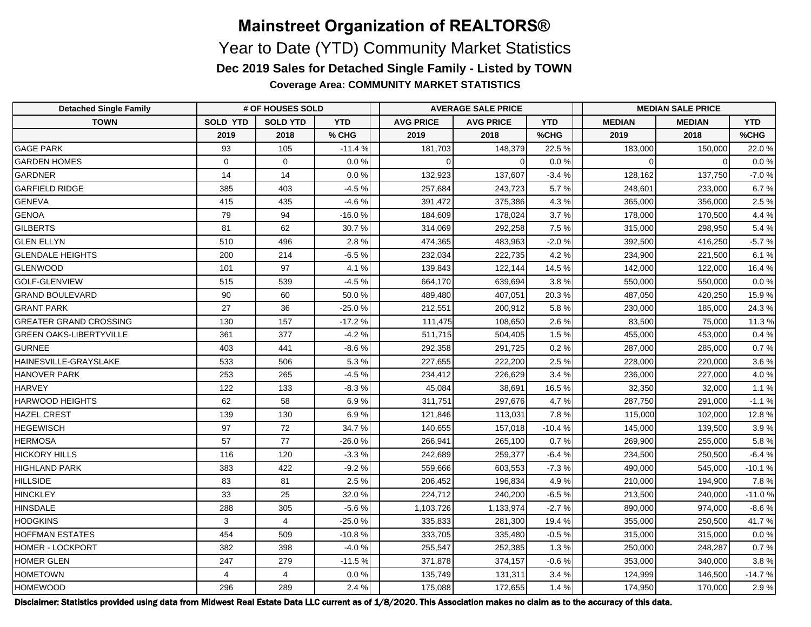**Coverage Area: COMMUNITY MARKET STATISTICS**

| <b>Detached Single Family</b>  | # OF HOUSES SOLD |                 |            | <b>AVERAGE SALE PRICE</b> |                  |            | <b>MEDIAN SALE PRICE</b> |               |            |  |
|--------------------------------|------------------|-----------------|------------|---------------------------|------------------|------------|--------------------------|---------------|------------|--|
| <b>TOWN</b>                    | <b>SOLD YTD</b>  | <b>SOLD YTD</b> | <b>YTD</b> | <b>AVG PRICE</b>          | <b>AVG PRICE</b> | <b>YTD</b> | <b>MEDIAN</b>            | <b>MEDIAN</b> | <b>YTD</b> |  |
|                                | 2019             | 2018            | % CHG      | 2019                      | 2018             | %CHG       | 2019                     | 2018          | %CHG       |  |
| <b>GAGE PARK</b>               | 93               | 105             | $-11.4%$   | 181,703                   | 148,379          | 22.5%      | 183,000                  | 150,000       | 22.0%      |  |
| <b>GARDEN HOMES</b>            | $\Omega$         | $\Omega$        | 0.0%       | $\Omega$                  | $\Omega$         | 0.0%       | $\Omega$                 | $\Omega$      | $0.0 \%$   |  |
| <b>GARDNER</b>                 | 14               | 14              | 0.0%       | 132,923                   | 137,607          | $-3.4%$    | 128,162                  | 137,750       | $-7.0%$    |  |
| <b>GARFIELD RIDGE</b>          | 385              | 403             | $-4.5%$    | 257,684                   | 243,723          | 5.7%       | 248,601                  | 233,000       | 6.7%       |  |
| GENEVA                         | 415              | 435             | $-4.6%$    | 391,472                   | 375,386          | 4.3%       | 365,000                  | 356,000       | 2.5%       |  |
| GENOA                          | 79               | 94              | $-16.0%$   | 184,609                   | 178,024          | 3.7%       | 178,000                  | 170,500       | 4.4 %      |  |
| GILBERTS                       | 81               | 62              | 30.7%      | 314,069                   | 292,258          | 7.5%       | 315,000                  | 298,950       | 5.4%       |  |
| <b>GLEN ELLYN</b>              | 510              | 496             | 2.8%       | 474,365                   | 483,963          | $-2.0%$    | 392,500                  | 416,250       | $-5.7%$    |  |
| <b>GLENDALE HEIGHTS</b>        | 200              | 214             | $-6.5%$    | 232,034                   | 222,735          | 4.2%       | 234,900                  | 221,500       | 6.1%       |  |
| <b>GLENWOOD</b>                | 101              | 97              | 4.1%       | 139,843                   | 122,144          | 14.5%      | 142,000                  | 122,000       | 16.4 %     |  |
| <b>GOLF-GLENVIEW</b>           | 515              | 539             | $-4.5%$    | 664,170                   | 639,694          | 3.8%       | 550,000                  | 550,000       | 0.0 %      |  |
| <b>GRAND BOULEVARD</b>         | 90               | 60              | 50.0%      | 489,480                   | 407,051          | 20.3%      | 487,050                  | 420,250       | 15.9%      |  |
| <b>GRANT PARK</b>              | 27               | 36              | $-25.0%$   | 212,551                   | 200,912          | 5.8%       | 230,000                  | 185,000       | 24.3 %     |  |
| <b>GREATER GRAND CROSSING</b>  | 130              | 157             | $-17.2%$   | 111,475                   | 108,650          | 2.6%       | 83,500                   | 75,000        | 11.3 %     |  |
| <b>GREEN OAKS-LIBERTYVILLE</b> | 361              | 377             | $-4.2%$    | 511,715                   | 504,405          | 1.5%       | 455,000                  | 453,000       | 0.4%       |  |
| <b>GURNEE</b>                  | 403              | 441             | $-8.6%$    | 292,358                   | 291,725          | 0.2%       | 287,000                  | 285,000       | 0.7%       |  |
| HAINESVILLE-GRAYSLAKE          | 533              | 506             | 5.3%       | 227,655                   | 222,200          | 2.5%       | 228,000                  | 220,000       | 3.6%       |  |
| HANOVER PARK                   | 253              | 265             | $-4.5%$    | 234,412                   | 226,629          | 3.4%       | 236,000                  | 227,000       | 4.0%       |  |
| <b>HARVEY</b>                  | 122              | 133             | $-8.3%$    | 45,084                    | 38,691           | 16.5%      | 32,350                   | 32,000        | 1.1%       |  |
| <b>HARWOOD HEIGHTS</b>         | 62               | 58              | 6.9%       | 311,751                   | 297,676          | 4.7%       | 287,750                  | 291,000       | $-1.1%$    |  |
| <b>HAZEL CREST</b>             | 139              | 130             | 6.9%       | 121,846                   | 113,031          | 7.8%       | 115,000                  | 102,000       | 12.8%      |  |
| <b>HEGEWISCH</b>               | 97               | 72              | 34.7%      | 140,655                   | 157,018          | $-10.4%$   | 145,000                  | 139,500       | 3.9%       |  |
| <b>HERMOSA</b>                 | 57               | 77              | $-26.0%$   | 266,941                   | 265,100          | 0.7%       | 269,900                  | 255,000       | 5.8%       |  |
| <b>HICKORY HILLS</b>           | 116              | 120             | $-3.3%$    | 242,689                   | 259,377          | $-6.4%$    | 234,500                  | 250,500       | $-6.4%$    |  |
| <b>HIGHLAND PARK</b>           | 383              | 422             | $-9.2%$    | 559,666                   | 603,553          | $-7.3%$    | 490,000                  | 545,000       | $-10.1%$   |  |
| <b>HILLSIDE</b>                | 83               | 81              | 2.5%       | 206,452                   | 196,834          | 4.9%       | 210,000                  | 194,900       | 7.8%       |  |
| HINCKLEY                       | 33               | 25              | 32.0%      | 224,712                   | 240,200          | $-6.5%$    | 213,500                  | 240,000       | $-11.0%$   |  |
| HINSDALE                       | 288              | 305             | $-5.6%$    | 1,103,726                 | 1,133,974        | $-2.7%$    | 890,000                  | 974,000       | $-8.6%$    |  |
| <b>HODGKINS</b>                | 3                | $\overline{4}$  | $-25.0%$   | 335,833                   | 281,300          | 19.4%      | 355,000                  | 250,500       | 41.7%      |  |
| <b>HOFFMAN ESTATES</b>         | 454              | 509             | $-10.8%$   | 333,705                   | 335,480          | $-0.5%$    | 315,000                  | 315,000       | $0.0 \%$   |  |
| <b>HOMER - LOCKPORT</b>        | 382              | 398             | $-4.0%$    | 255,547                   | 252,385          | 1.3%       | 250,000                  | 248,287       | 0.7%       |  |
| <b>HOMER GLEN</b>              | 247              | 279             | $-11.5%$   | 371,878                   | 374,157          | $-0.6%$    | 353,000                  | 340,000       | 3.8%       |  |
| <b>HOMETOWN</b>                | 4                | $\overline{4}$  | 0.0%       | 135,749                   | 131,311          | 3.4%       | 124,999                  | 146,500       | $-14.7%$   |  |
| <b>HOMEWOOD</b>                | 296              | 289             | 2.4%       | 175,088                   | 172,655          | 1.4%       | 174,950                  | 170,000       | 2.9%       |  |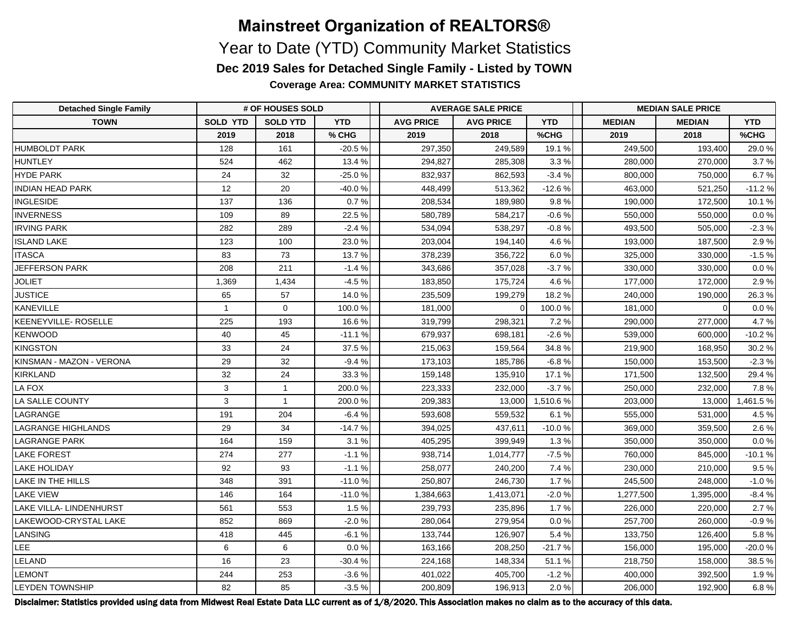**Coverage Area: COMMUNITY MARKET STATISTICS**

| <b>Detached Single Family</b> | # OF HOUSES SOLD |                 |            | <b>AVERAGE SALE PRICE</b> |                  |            | <b>MEDIAN SALE PRICE</b> |               |            |  |
|-------------------------------|------------------|-----------------|------------|---------------------------|------------------|------------|--------------------------|---------------|------------|--|
| <b>TOWN</b>                   | <b>SOLD YTD</b>  | <b>SOLD YTD</b> | <b>YTD</b> | <b>AVG PRICE</b>          | <b>AVG PRICE</b> | <b>YTD</b> | <b>MEDIAN</b>            | <b>MEDIAN</b> | <b>YTD</b> |  |
|                               | 2019             | 2018            | % CHG      | 2019                      | 2018             | %CHG       | 2019                     | 2018          | %CHG       |  |
| <b>HUMBOLDT PARK</b>          | 128              | 161             | $-20.5%$   | 297,350                   | 249,589          | 19.1%      | 249,500                  | 193,400       | 29.0%      |  |
| <b>HUNTLEY</b>                | 524              | 462             | 13.4 %     | 294,827                   | 285.308          | 3.3%       | 280,000                  | 270,000       | 3.7%       |  |
| HYDE PARK                     | 24               | 32              | $-25.0%$   | 832,937                   | 862,593          | $-3.4%$    | 800,000                  | 750,000       | 6.7%       |  |
| <b>INDIAN HEAD PARK</b>       | 12               | 20              | $-40.0%$   | 448,499                   | 513,362          | $-12.6%$   | 463,000                  | 521,250       | $-11.2%$   |  |
| <b>INGLESIDE</b>              | 137              | 136             | 0.7%       | 208,534                   | 189,980          | 9.8%       | 190,000                  | 172,500       | 10.1%      |  |
| <b>INVERNESS</b>              | 109              | 89              | 22.5%      | 580,789                   | 584,217          | $-0.6%$    | 550,000                  | 550,000       | 0.0 %      |  |
| <b>IRVING PARK</b>            | 282              | 289             | $-2.4%$    | 534,094                   | 538,297          | $-0.8%$    | 493,500                  | 505,000       | $-2.3%$    |  |
| <b>ISLAND LAKE</b>            | 123              | 100             | 23.0%      | 203,004                   | 194,140          | 4.6%       | 193,000                  | 187,500       | 2.9%       |  |
| <b>ITASCA</b>                 | 83               | 73              | 13.7%      | 378,239                   | 356,722          | 6.0%       | 325,000                  | 330,000       | $-1.5%$    |  |
| <b>JEFFERSON PARK</b>         | 208              | 211             | $-1.4%$    | 343,686                   | 357,028          | $-3.7%$    | 330,000                  | 330,000       | 0.0 %      |  |
| <b>JOLIET</b>                 | 1,369            | 1,434           | $-4.5%$    | 183,850                   | 175,724          | 4.6%       | 177,000                  | 172,000       | 2.9%       |  |
| <b>JUSTICE</b>                | 65               | 57              | 14.0%      | 235,509                   | 199,279          | 18.2%      | 240,000                  | 190,000       | 26.3%      |  |
| <b>KANEVILLE</b>              | $\mathbf{1}$     | $\mathbf 0$     | 100.0%     | 181,000                   |                  | 100.0%     | 181,000                  | $\Omega$      | 0.0 %      |  |
| KEENEYVILLE-ROSELLE           | 225              | 193             | 16.6%      | 319,799                   | 298,321          | 7.2%       | 290,000                  | 277,000       | 4.7%       |  |
| KENWOOD                       | 40               | 45              | $-11.1%$   | 679,937                   | 698,181          | $-2.6%$    | 539,000                  | 600,000       | $-10.2%$   |  |
| KINGSTON                      | 33               | 24              | 37.5%      | 215,063                   | 159,564          | 34.8%      | 219,900                  | 168,950       | 30.2%      |  |
| KINSMAN - MAZON - VERONA      | 29               | 32              | $-9.4%$    | 173,103                   | 185,786          | $-6.8%$    | 150,000                  | 153,500       | $-2.3%$    |  |
| KIRKLAND                      | 32               | 24              | 33.3%      | 159,148                   | 135,910          | 17.1%      | 171,500                  | 132,500       | 29.4%      |  |
| LA FOX                        | 3                | $\overline{1}$  | 200.0%     | 223,333                   | 232,000          | $-3.7%$    | 250,000                  | 232,000       | 7.8%       |  |
| LA SALLE COUNTY               | 3                | $\mathbf{1}$    | 200.0%     | 209,383                   | 13,000           | 1,510.6%   | 203,000                  | 13,000        | 1,461.5%   |  |
| LAGRANGE                      | 191              | 204             | $-6.4%$    | 593,608                   | 559,532          | 6.1%       | 555,000                  | 531,000       | 4.5%       |  |
| <b>LAGRANGE HIGHLANDS</b>     | 29               | 34              | $-14.7%$   | 394,025                   | 437.611          | $-10.0%$   | 369,000                  | 359,500       | 2.6%       |  |
| LAGRANGE PARK                 | 164              | 159             | 3.1%       | 405,295                   | 399,949          | 1.3%       | 350,000                  | 350,000       | $0.0\,\%$  |  |
| <b>LAKE FOREST</b>            | 274              | 277             | $-1.1%$    | 938,714                   | 1,014,777        | $-7.5%$    | 760,000                  | 845,000       | $-10.1%$   |  |
| <b>LAKE HOLIDAY</b>           | 92               | 93              | $-1.1%$    | 258,077                   | 240,200          | 7.4 %      | 230,000                  | 210,000       | 9.5%       |  |
| LAKE IN THE HILLS             | 348              | 391             | $-11.0%$   | 250,807                   | 246,730          | 1.7%       | 245,500                  | 248,000       | $-1.0%$    |  |
| <b>LAKE VIEW</b>              | 146              | 164             | $-11.0%$   | 1,384,663                 | 1,413,071        | $-2.0%$    | 1,277,500                | 1,395,000     | $-8.4%$    |  |
| LAKE VILLA- LINDENHURST       | 561              | 553             | 1.5%       | 239,793                   | 235,896          | 1.7%       | 226,000                  | 220,000       | 2.7%       |  |
| LAKEWOOD-CRYSTAL LAKE         | 852              | 869             | $-2.0%$    | 280,064                   | 279,954          | 0.0%       | 257,700                  | 260,000       | $-0.9%$    |  |
| LANSING                       | 418              | 445             | $-6.1%$    | 133,744                   | 126,907          | 5.4%       | 133,750                  | 126,400       | 5.8%       |  |
| LEE                           | 6                | 6               | 0.0%       | 163,166                   | 208,250          | $-21.7%$   | 156,000                  | 195,000       | $-20.0%$   |  |
| LELAND                        | 16               | 23              | $-30.4%$   | 224,168                   | 148,334          | 51.1%      | 218,750                  | 158,000       | 38.5%      |  |
| <b>LEMONT</b>                 | 244              | 253             | $-3.6%$    | 401,022                   | 405,700          | $-1.2%$    | 400,000                  | 392,500       | 1.9%       |  |
| <b>LEYDEN TOWNSHIP</b>        | 82               | 85              | $-3.5%$    | 200,809                   | 196,913          | 2.0%       | 206,000                  | 192,900       | 6.8%       |  |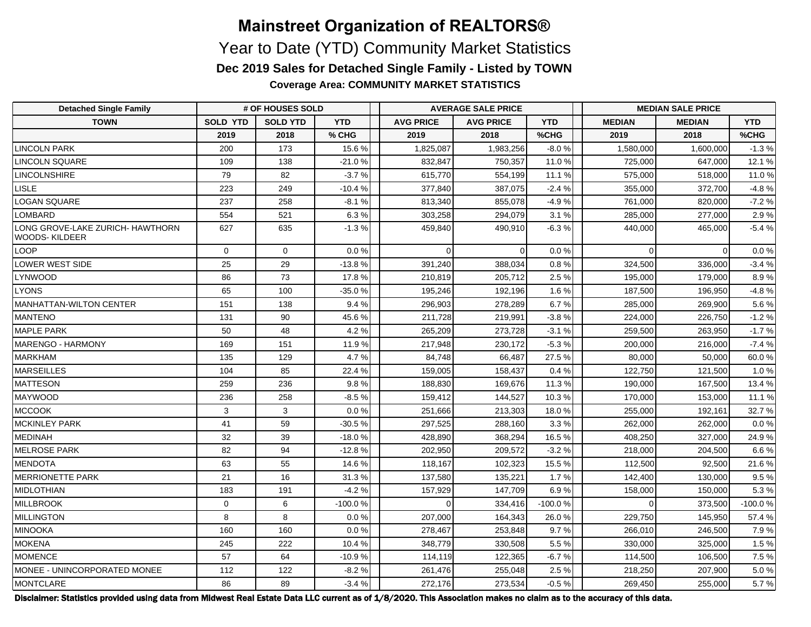**Coverage Area: COMMUNITY MARKET STATISTICS**

| <b>Detached Single Family</b>                            | # OF HOUSES SOLD |                 |            | <b>AVERAGE SALE PRICE</b> |                  |            | <b>MEDIAN SALE PRICE</b> |               |            |  |
|----------------------------------------------------------|------------------|-----------------|------------|---------------------------|------------------|------------|--------------------------|---------------|------------|--|
| <b>TOWN</b>                                              | <b>SOLD YTD</b>  | <b>SOLD YTD</b> | <b>YTD</b> | <b>AVG PRICE</b>          | <b>AVG PRICE</b> | <b>YTD</b> | <b>MEDIAN</b>            | <b>MEDIAN</b> | <b>YTD</b> |  |
|                                                          | 2019             | 2018            | % CHG      | 2019                      | 2018             | %CHG       | 2019                     | 2018          | %CHG       |  |
| <b>LINCOLN PARK</b>                                      | 200              | 173             | 15.6%      | 1,825,087                 | 1,983,256        | $-8.0%$    | 1,580,000                | 1,600,000     | $-1.3%$    |  |
| <b>LINCOLN SQUARE</b>                                    | 109              | 138             | $-21.0%$   | 832,847                   | 750.357          | 11.0 %     | 725,000                  | 647.000       | 12.1%      |  |
| LINCOLNSHIRE                                             | 79               | 82              | $-3.7%$    | 615,770                   | 554,199          | 11.1 %     | 575,000                  | 518,000       | 11.0 %     |  |
| <b>LISLE</b>                                             | 223              | 249             | $-10.4%$   | 377,840                   | 387,075          | $-2.4%$    | 355,000                  | 372,700       | $-4.8%$    |  |
| <b>LOGAN SQUARE</b>                                      | 237              | 258             | $-8.1%$    | 813,340                   | 855,078          | $-4.9%$    | 761,000                  | 820,000       | $-7.2%$    |  |
| LOMBARD                                                  | 554              | 521             | 6.3%       | 303,258                   | 294,079          | 3.1%       | 285,000                  | 277,000       | 2.9%       |  |
| LONG GROVE-LAKE ZURICH- HAWTHORN<br><b>WOODS-KILDEER</b> | 627              | 635             | $-1.3%$    | 459,840                   | 490,910          | $-6.3%$    | 440,000                  | 465,000       | $-5.4%$    |  |
| LOOP                                                     | $\Omega$         | $\Omega$        | 0.0%       | $\Omega$                  | $\Omega$         | 0.0%       | $\Omega$                 | $\Omega$      | $0.0 \%$   |  |
| LOWER WEST SIDE                                          | 25               | 29              | $-13.8%$   | 391,240                   | 388,034          | 0.8%       | 324,500                  | 336,000       | $-3.4%$    |  |
| <b>LYNWOOD</b>                                           | 86               | 73              | 17.8%      | 210,819                   | 205,712          | 2.5%       | 195,000                  | 179,000       | 8.9%       |  |
| <b>LYONS</b>                                             | 65               | 100             | $-35.0%$   | 195,246                   | 192,196          | 1.6%       | 187,500                  | 196,950       | $-4.8%$    |  |
| MANHATTAN-WILTON CENTER                                  | 151              | 138             | 9.4%       | 296,903                   | 278,289          | 6.7%       | 285,000                  | 269,900       | 5.6%       |  |
| <b>MANTENO</b>                                           | 131              | 90              | 45.6%      | 211,728                   | 219,991          | $-3.8%$    | 224,000                  | 226,750       | $-1.2%$    |  |
| <b>MAPLE PARK</b>                                        | 50               | 48              | 4.2%       | 265,209                   | 273,728          | $-3.1%$    | 259,500                  | 263,950       | $-1.7%$    |  |
| MARENGO - HARMONY                                        | 169              | 151             | 11.9%      | 217,948                   | 230,172          | $-5.3%$    | 200,000                  | 216,000       | $-7.4%$    |  |
| MARKHAM                                                  | 135              | 129             | 4.7%       | 84,748                    | 66,487           | 27.5%      | 80,000                   | 50,000        | 60.0%      |  |
| MARSEILLES                                               | 104              | 85              | 22.4%      | 159,005                   | 158,437          | 0.4%       | 122,750                  | 121,500       | 1.0%       |  |
| <b>MATTESON</b>                                          | 259              | 236             | 9.8%       | 188,830                   | 169.676          | 11.3 %     | 190.000                  | 167,500       | 13.4 %     |  |
| MAYWOOD                                                  | 236              | 258             | $-8.5%$    | 159,412                   | 144,527          | 10.3%      | 170,000                  | 153,000       | 11.1 %     |  |
| MCCOOK                                                   | 3                | 3               | $0.0\,\%$  | 251,666                   | 213,303          | 18.0%      | 255,000                  | 192,161       | 32.7%      |  |
| <b>MCKINLEY PARK</b>                                     | 41               | 59              | $-30.5%$   | 297,525                   | 288,160          | 3.3%       | 262,000                  | 262,000       | $0.0\,\%$  |  |
| <b>MEDINAH</b>                                           | 32               | 39              | $-18.0%$   | 428,890                   | 368,294          | 16.5%      | 408,250                  | 327,000       | 24.9 %     |  |
| <b>MELROSE PARK</b>                                      | 82               | 94              | $-12.8%$   | 202,950                   | 209,572          | $-3.2%$    | 218,000                  | 204,500       | 6.6 %      |  |
| <b>MENDOTA</b>                                           | 63               | 55              | 14.6%      | 118,167                   | 102,323          | 15.5%      | 112,500                  | 92,500        | 21.6%      |  |
| <b>MERRIONETTE PARK</b>                                  | 21               | 16              | 31.3%      | 137,580                   | 135,221          | 1.7%       | 142,400                  | 130,000       | 9.5%       |  |
| MIDLOTHIAN                                               | 183              | 191             | $-4.2%$    | 157,929                   | 147,709          | 6.9%       | 158,000                  | 150,000       | 5.3%       |  |
| MILLBROOK                                                | $\Omega$         | 6               | $-100.0%$  | $\Omega$                  | 334,416          | $-100.0%$  | $\Omega$                 | 373,500       | $-100.0%$  |  |
| MILLINGTON                                               | 8                | 8               | 0.0%       | 207,000                   | 164,343          | 26.0%      | 229,750                  | 145,950       | 57.4%      |  |
| MINOOKA                                                  | 160              | 160             | 0.0%       | 278,467                   | 253,848          | 9.7%       | 266,010                  | 246,500       | 7.9%       |  |
| MOKENA                                                   | 245              | 222             | 10.4%      | 348,779                   | 330.508          | 5.5%       | 330,000                  | 325.000       | 1.5%       |  |
| MOMENCE                                                  | 57               | 64              | $-10.9%$   | 114,119                   | 122,365          | $-6.7%$    | 114,500                  | 106,500       | 7.5%       |  |
| MONEE - UNINCORPORATED MONEE                             | 112              | 122             | $-8.2%$    | 261,476                   | 255,048          | 2.5%       | 218,250                  | 207,900       | 5.0%       |  |
| MONTCLARE                                                | 86               | 89              | $-3.4%$    | 272,176                   | 273,534          | $-0.5%$    | 269,450                  | 255,000       | 5.7%       |  |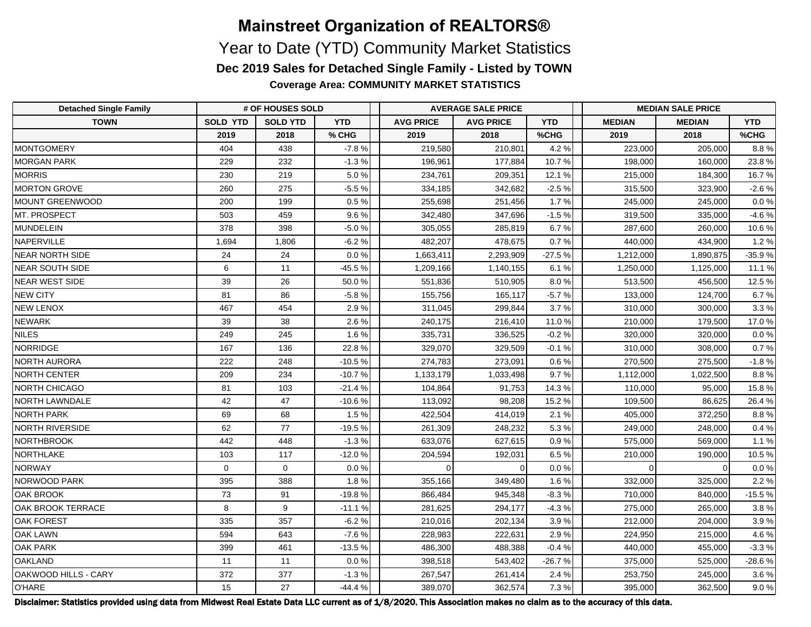**Coverage Area: COMMUNITY MARKET STATISTICS**

| <b>Detached Single Family</b> | # OF HOUSES SOLD |                 |            | <b>AVERAGE SALE PRICE</b> |                  |            | <b>MEDIAN SALE PRICE</b> |               |            |  |
|-------------------------------|------------------|-----------------|------------|---------------------------|------------------|------------|--------------------------|---------------|------------|--|
| <b>TOWN</b>                   | <b>SOLD YTD</b>  | <b>SOLD YTD</b> | <b>YTD</b> | <b>AVG PRICE</b>          | <b>AVG PRICE</b> | <b>YTD</b> | <b>MEDIAN</b>            | <b>MEDIAN</b> | <b>YTD</b> |  |
|                               | 2019             | 2018            | % CHG      | 2019                      | 2018             | %CHG       | 2019                     | 2018          | %CHG       |  |
| <b>MONTGOMERY</b>             | 404              | 438             | $-7.8%$    | 219,580                   | 210,801          | 4.2%       | 223,000                  | 205,000       | 8.8%       |  |
| <b>MORGAN PARK</b>            | 229              | 232             | $-1.3%$    | 196,961                   | 177,884          | 10.7%      | 198,000                  | 160.000       | 23.8%      |  |
| <b>MORRIS</b>                 | 230              | 219             | 5.0%       | 234,761                   | 209,351          | 12.1 %     | 215,000                  | 184,300       | 16.7 %     |  |
| MORTON GROVE                  | 260              | 275             | $-5.5%$    | 334,185                   | 342,682          | $-2.5%$    | 315,500                  | 323,900       | $-2.6%$    |  |
| MOUNT GREENWOOD               | 200              | 199             | 0.5%       | 255,698                   | 251,456          | 1.7%       | 245,000                  | 245,000       | 0.0 %      |  |
| MT. PROSPECT                  | 503              | 459             | 9.6%       | 342,480                   | 347,696          | $-1.5%$    | 319,500                  | 335,000       | $-4.6%$    |  |
| <b>MUNDELEIN</b>              | 378              | 398             | $-5.0%$    | 305,055                   | 285,819          | 6.7%       | 287,600                  | 260,000       | 10.6 %     |  |
| NAPERVILLE                    | 1,694            | 1,806           | $-6.2%$    | 482,207                   | 478,675          | 0.7%       | 440,000                  | 434,900       | 1.2%       |  |
| <b>NEAR NORTH SIDE</b>        | 24               | 24              | 0.0%       | 1,663,411                 | 2,293,909        | $-27.5%$   | 1,212,000                | 1,890,875     | $-35.9%$   |  |
| <b>NEAR SOUTH SIDE</b>        | 6                | 11              | $-45.5%$   | 1,209,166                 | 1,140,155        | 6.1%       | 1,250,000                | 1,125,000     | 11.1%      |  |
| NEAR WEST SIDE                | 39               | 26              | 50.0%      | 551,836                   | 510,905          | 8.0%       | 513,500                  | 456,500       | 12.5 %     |  |
| <b>NEW CITY</b>               | 81               | 86              | $-5.8%$    | 155,756                   | 165,117          | $-5.7%$    | 133,000                  | 124,700       | 6.7%       |  |
| <b>NEW LENOX</b>              | 467              | 454             | 2.9%       | 311,045                   | 299,844          | 3.7%       | 310,000                  | 300,000       | 3.3%       |  |
| NEWARK                        | 39               | 38              | 2.6%       | 240,175                   | 216,410          | 11.0%      | 210,000                  | 179,500       | 17.0%      |  |
| <b>NILES</b>                  | 249              | 245             | 1.6%       | 335,731                   | 336,525          | $-0.2%$    | 320,000                  | 320,000       | 0.0%       |  |
| <b>NORRIDGE</b>               | 167              | 136             | 22.8%      | 329,070                   | 329,509          | $-0.1%$    | 310,000                  | 308,000       | 0.7%       |  |
| NORTH AURORA                  | 222              | 248             | $-10.5%$   | 274,783                   | 273,091          | 0.6%       | 270,500                  | 275,500       | $-1.8%$    |  |
| NORTH CENTER                  | 209              | 234             | $-10.7%$   | 1,133,179                 | 1,033,498        | 9.7%       | 1,112,000                | 1,022,500     | 8.8%       |  |
| NORTH CHICAGO                 | 81               | 103             | $-21.4%$   | 104,864                   | 91,753           | 14.3%      | 110,000                  | 95,000        | 15.8%      |  |
| NORTH LAWNDALE                | 42               | 47              | $-10.6%$   | 113,092                   | 98,208           | 15.2 %     | 109,500                  | 86,625        | 26.4%      |  |
| <b>NORTH PARK</b>             | 69               | 68              | 1.5%       | 422,504                   | 414,019          | 2.1%       | 405,000                  | 372,250       | 8.8%       |  |
| <b>NORTH RIVERSIDE</b>        | 62               | 77              | $-19.5%$   | 261,309                   | 248,232          | 5.3%       | 249,000                  | 248,000       | 0.4%       |  |
| NORTHBROOK                    | 442              | 448             | $-1.3%$    | 633,076                   | 627,615          | 0.9%       | 575,000                  | 569,000       | 1.1%       |  |
| NORTHLAKE                     | 103              | 117             | $-12.0%$   | 204,594                   | 192,031          | 6.5%       | 210,000                  | 190,000       | 10.5%      |  |
| NORWAY                        | $\mathbf 0$      | $\mathbf 0$     | 0.0%       | $\Omega$                  | $\Omega$         | 0.0 %      | $\Omega$                 | $\Omega$      | 0.0 %      |  |
| NORWOOD PARK                  | 395              | 388             | 1.8%       | 355,166                   | 349,480          | 1.6%       | 332,000                  | 325,000       | 2.2%       |  |
| <b>OAK BROOK</b>              | 73               | 91              | $-19.8%$   | 866,484                   | 945,348          | $-8.3%$    | 710,000                  | 840,000       | $-15.5%$   |  |
| <b>OAK BROOK TERRACE</b>      | 8                | 9               | $-11.1%$   | 281,625                   | 294,177          | $-4.3%$    | 275,000                  | 265,000       | 3.8%       |  |
| <b>OAK FOREST</b>             | 335              | 357             | $-6.2%$    | 210,016                   | 202,134          | 3.9%       | 212,000                  | 204,000       | 3.9%       |  |
| OAK LAWN                      | 594              | 643             | $-7.6%$    | 228,983                   | 222,631          | 2.9%       | 224,950                  | 215,000       | 4.6%       |  |
| OAK PARK                      | 399              | 461             | $-13.5%$   | 486,300                   | 488,388          | $-0.4%$    | 440,000                  | 455,000       | $-3.3%$    |  |
| <b>OAKLAND</b>                | 11               | 11              | 0.0%       | 398,518                   | 543,402          | $-26.7%$   | 375,000                  | 525,000       | $-28.6%$   |  |
| OAKWOOD HILLS - CARY          | 372              | 377             | $-1.3%$    | 267,547                   | 261,414          | 2.4 %      | 253,750                  | 245,000       | 3.6%       |  |
| O'HARE                        | 15               | 27              | $-44.4%$   | 389,070                   | 362,574          | 7.3%       | 395,000                  | 362,500       | 9.0%       |  |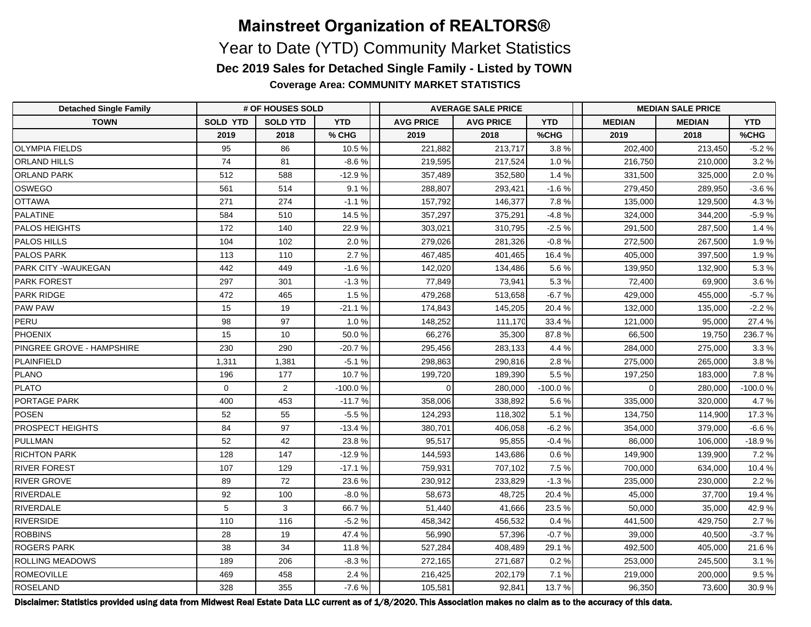**Coverage Area: COMMUNITY MARKET STATISTICS**

| <b>Detached Single Family</b> | # OF HOUSES SOLD |                 |            | <b>AVERAGE SALE PRICE</b> |                  |            | <b>MEDIAN SALE PRICE</b> |               |            |  |
|-------------------------------|------------------|-----------------|------------|---------------------------|------------------|------------|--------------------------|---------------|------------|--|
| <b>TOWN</b>                   | <b>SOLD YTD</b>  | <b>SOLD YTD</b> | <b>YTD</b> | <b>AVG PRICE</b>          | <b>AVG PRICE</b> | <b>YTD</b> | <b>MEDIAN</b>            | <b>MEDIAN</b> | <b>YTD</b> |  |
|                               | 2019             | 2018            | % CHG      | 2019                      | 2018             | %CHG       | 2019                     | 2018          | %CHG       |  |
| <b>OLYMPIA FIELDS</b>         | 95               | 86              | 10.5%      | 221,882                   | 213,717          | 3.8%       | 202,400                  | 213,450       | $-5.2%$    |  |
| <b>ORLAND HILLS</b>           | 74               | 81              | $-8.6%$    | 219,595                   | 217,524          | 1.0%       | 216,750                  | 210,000       | 3.2%       |  |
| <b>ORLAND PARK</b>            | 512              | 588             | $-12.9%$   | 357,489                   | 352,580          | 1.4%       | 331,500                  | 325,000       | 2.0%       |  |
| <b>OSWEGO</b>                 | 561              | 514             | 9.1%       | 288,807                   | 293,421          | $-1.6%$    | 279,450                  | 289,950       | $-3.6%$    |  |
| <b>OTTAWA</b>                 | 271              | 274             | $-1.1%$    | 157,792                   | 146,377          | 7.8%       | 135,000                  | 129,500       | 4.3%       |  |
| PALATINE                      | 584              | 510             | 14.5%      | 357,297                   | 375,291          | $-4.8%$    | 324,000                  | 344,200       | $-5.9%$    |  |
| <b>PALOS HEIGHTS</b>          | 172              | 140             | 22.9%      | 303,021                   | 310,795          | $-2.5%$    | 291,500                  | 287,500       | 1.4%       |  |
| PALOS HILLS                   | 104              | 102             | 2.0%       | 279,026                   | 281,326          | $-0.8 \%$  | 272,500                  | 267,500       | 1.9%       |  |
| <b>PALOS PARK</b>             | 113              | 110             | 2.7%       | 467,485                   | 401,465          | 16.4%      | 405,000                  | 397,500       | 1.9%       |  |
| <b>PARK CITY - WAUKEGAN</b>   | 442              | 449             | $-1.6%$    | 142,020                   | 134,486          | 5.6%       | 139,950                  | 132,900       | 5.3%       |  |
| <b>PARK FOREST</b>            | 297              | 301             | $-1.3%$    | 77,849                    | 73,941           | 5.3%       | 72,400                   | 69,900        | 3.6 %      |  |
| <b>PARK RIDGE</b>             | 472              | 465             | 1.5%       | 479,268                   | 513,658          | $-6.7%$    | 429,000                  | 455,000       | $-5.7%$    |  |
| <b>PAW PAW</b>                | 15               | 19              | $-21.1%$   | 174,843                   | 145,205          | 20.4%      | 132,000                  | 135,000       | $-2.2%$    |  |
| PERU                          | 98               | 97              | 1.0%       | 148,252                   | 111,170          | 33.4 %     | 121,000                  | 95.000        | 27.4%      |  |
| <b>PHOENIX</b>                | 15               | 10              | 50.0%      | 66,276                    | 35,300           | 87.8%      | 66,500                   | 19,750        | 236.7%     |  |
| PINGREE GROVE - HAMPSHIRE     | 230              | 290             | -20.7 %    | 295,456                   | 283,133          | 4.4%       | 284,000                  | 275,000       | 3.3%       |  |
| PLAINFIELD                    | 1,311            | 1,381           | $-5.1%$    | 298,863                   | 290,816          | 2.8%       | 275,000                  | 265,000       | 3.8%       |  |
| PLANO                         | 196              | 177             | 10.7%      | 199,720                   | 189,390          | 5.5%       | 197,250                  | 183,000       | 7.8%       |  |
| PLATO                         | $\mathbf 0$      | $\overline{2}$  | $-100.0%$  | $\Omega$                  | 280,000          | $-100.0%$  | $\Omega$                 | 280,000       | $-100.0%$  |  |
| <b>PORTAGE PARK</b>           | 400              | 453             | $-11.7%$   | 358,006                   | 338,892          | 5.6%       | 335,000                  | 320,000       | 4.7%       |  |
| POSEN                         | 52               | 55              | $-5.5%$    | 124,293                   | 118,302          | 5.1%       | 134,750                  | 114,900       | 17.3%      |  |
| <b>PROSPECT HEIGHTS</b>       | 84               | 97              | $-13.4%$   | 380,701                   | 406,058          | $-6.2%$    | 354,000                  | 379,000       | $-6.6%$    |  |
| PULLMAN                       | 52               | 42              | 23.8%      | 95,517                    | 95,855           | $-0.4%$    | 86,000                   | 106,000       | $-18.9%$   |  |
| <b>RICHTON PARK</b>           | 128              | 147             | $-12.9%$   | 144,593                   | 143,686          | 0.6%       | 149,900                  | 139,900       | 7.2 %      |  |
| <b>RIVER FOREST</b>           | 107              | 129             | $-17.1%$   | 759,931                   | 707,102          | 7.5%       | 700,000                  | 634,000       | 10.4%      |  |
| <b>RIVER GROVE</b>            | 89               | 72              | 23.6%      | 230,912                   | 233,829          | $-1.3%$    | 235,000                  | 230,000       | 2.2%       |  |
| RIVERDALE                     | 92               | 100             | $-8.0%$    | 58,673                    | 48,725           | 20.4%      | 45,000                   | 37,700        | 19.4%      |  |
| RIVERDALE                     | 5                | 3               | 66.7%      | 51,440                    | 41,666           | 23.5%      | 50,000                   | 35,000        | 42.9%      |  |
| <b>RIVERSIDE</b>              | 110              | 116             | $-5.2%$    | 458,342                   | 456,532          | 0.4%       | 441,500                  | 429,750       | 2.7%       |  |
| <b>ROBBINS</b>                | 28               | 19              | 47.4%      | 56,990                    | 57,396           | $-0.7%$    | 39,000                   | 40,500        | $-3.7%$    |  |
| <b>ROGERS PARK</b>            | 38               | 34              | 11.8 %     | 527,284                   | 408,489          | 29.1%      | 492,500                  | 405,000       | 21.6%      |  |
| <b>ROLLING MEADOWS</b>        | 189              | 206             | $-8.3%$    | 272,165                   | 271,687          | 0.2%       | 253,000                  | 245,500       | 3.1%       |  |
| ROMEOVILLE                    | 469              | 458             | 2.4%       | 216,425                   | 202,179          | 7.1%       | 219,000                  | 200,000       | $9.5\,\%$  |  |
| ROSELAND                      | 328              | 355             | $-7.6%$    | 105,581                   | 92,841           | 13.7%      | 96,350                   | 73,600        | 30.9%      |  |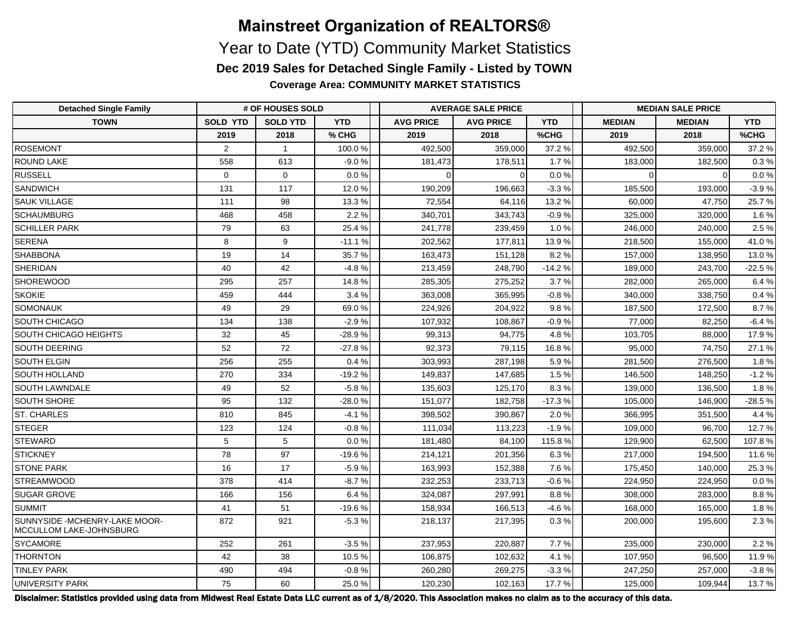**Coverage Area: COMMUNITY MARKET STATISTICS**

| <b>Detached Single Family</b>                             | # OF HOUSES SOLD |                 |            | <b>AVERAGE SALE PRICE</b> |                  |            | <b>MEDIAN SALE PRICE</b> |               |            |  |
|-----------------------------------------------------------|------------------|-----------------|------------|---------------------------|------------------|------------|--------------------------|---------------|------------|--|
| <b>TOWN</b>                                               | <b>SOLD YTD</b>  | <b>SOLD YTD</b> | <b>YTD</b> | <b>AVG PRICE</b>          | <b>AVG PRICE</b> | <b>YTD</b> | <b>MEDIAN</b>            | <b>MEDIAN</b> | <b>YTD</b> |  |
|                                                           | 2019             | 2018            | % CHG      | 2019                      | 2018             | %CHG       | 2019                     | 2018          | %CHG       |  |
| ROSEMONT                                                  | $\overline{2}$   | $\overline{1}$  | 100.0 %    | 492,500                   | 359,000          | 37.2%      | 492,500                  | 359,000       | 37.2 %     |  |
| <b>ROUND LAKE</b>                                         | 558              | 613             | $-9.0%$    | 181,473                   | 178,511          | 1.7%       | 183,000                  | 182,500       | 0.3 %      |  |
| <b>RUSSELL</b>                                            | $\mathbf 0$      | $\mathbf 0$     | 0.0%       | $\Omega$                  |                  | 0.0 %      | 0                        | $\Omega$      | 0.0 %      |  |
| <b>SANDWICH</b>                                           | 131              | 117             | 12.0%      | 190,209                   | 196,663          | $-3.3%$    | 185,500                  | 193,000       | $-3.9%$    |  |
| <b>SAUK VILLAGE</b>                                       | 111              | 98              | 13.3%      | 72,554                    | 64,116           | 13.2 %     | 60,000                   | 47,750        | 25.7%      |  |
| <b>SCHAUMBURG</b>                                         | 468              | 458             | 2.2%       | 340,701                   | 343,743          | $-0.9%$    | 325,000                  | 320,000       | 1.6%       |  |
| <b>SCHILLER PARK</b>                                      | 79               | 63              | 25.4%      | 241,778                   | 239,459          | 1.0%       | 246,000                  | 240,000       | 2.5%       |  |
| SERENA                                                    | 8                | 9               | $-11.1%$   | 202,562                   | 177,811          | 13.9%      | 218,500                  | 155,000       | 41.0%      |  |
| SHABBONA                                                  | 19               | 14              | 35.7%      | 163,473                   | 151,128          | 8.2%       | 157,000                  | 138,950       | 13.0%      |  |
| SHERIDAN                                                  | 40               | 42              | $-4.8%$    | 213,459                   | 248,790          | $-14.2%$   | 189,000                  | 243,700       | $-22.5%$   |  |
| <b>SHOREWOOD</b>                                          | 295              | 257             | 14.8%      | 285,305                   | 275,252          | 3.7%       | 282,000                  | 265,000       | 6.4%       |  |
| <b>SKOKIE</b>                                             | 459              | 444             | 3.4%       | 363,008                   | 365,995          | $-0.8%$    | 340,000                  | 338,750       | 0.4%       |  |
| SOMONAUK                                                  | 49               | 29              | 69.0%      | 224,926                   | 204,922          | 9.8%       | 187,500                  | 172,500       | 8.7%       |  |
| SOUTH CHICAGO                                             | 134              | 138             | $-2.9%$    | 107,932                   | 108,867          | $-0.9%$    | 77,000                   | 82,250        | $-6.4%$    |  |
| SOUTH CHICAGO HEIGHTS                                     | 32               | 45              | $-28.9%$   | 99,313                    | 94,775           | 4.8%       | 103,705                  | 88,000        | 17.9%      |  |
| SOUTH DEERING                                             | 52               | 72              | $-27.8%$   | 92,373                    | 79,115           | 16.8%      | 95,000                   | 74,750        | 27.1%      |  |
| SOUTH ELGIN                                               | 256              | 255             | 0.4%       | 303,993                   | 287,198          | 5.9%       | 281,500                  | 276,500       | 1.8%       |  |
| SOUTH HOLLAND                                             | 270              | 334             | $-19.2%$   | 149,837                   | 147,685          | 1.5%       | 146,500                  | 148,250       | $-1.2%$    |  |
| <b>SOUTH LAWNDALE</b>                                     | 49               | 52              | $-5.8%$    | 135,603                   | 125,170          | 8.3%       | 139,000                  | 136,500       | 1.8%       |  |
| <b>SOUTH SHORE</b>                                        | 95               | 132             | $-28.0%$   | 151,077                   | 182,758          | $-17.3%$   | 105,000                  | 146,900       | $-28.5%$   |  |
| <b>ST. CHARLES</b>                                        | 810              | 845             | $-4.1%$    | 398,502                   | 390,867          | 2.0%       | 366,995                  | 351,500       | 4.4%       |  |
| STEGER                                                    | 123              | 124             | $-0.8%$    | 111,034                   | 113,223          | $-1.9%$    | 109,000                  | 96,700        | 12.7%      |  |
| STEWARD                                                   | 5                | 5               | 0.0%       | 181,480                   | 84,100           | 115.8%     | 129,900                  | 62,500        | 107.8%     |  |
| STICKNEY                                                  | 78               | 97              | $-19.6%$   | 214,121                   | 201,356          | 6.3%       | 217,000                  | 194,500       | 11.6%      |  |
| <b>STONE PARK</b>                                         | 16               | 17              | $-5.9%$    | 163,993                   | 152,388          | 7.6%       | 175,450                  | 140,000       | 25.3%      |  |
| <b>STREAMWOOD</b>                                         | 378              | 414             | $-8.7%$    | 232,253                   | 233,713          | $-0.6%$    | 224,950                  | 224,950       | $0.0\,\%$  |  |
| <b>SUGAR GROVE</b>                                        | 166              | 156             | 6.4%       | 324,087                   | 297,991          | 8.8%       | 308,000                  | 283,000       | 8.8%       |  |
| SUMMIT                                                    | 41               | 51              | $-19.6%$   | 158,934                   | 166,513          | $-4.6%$    | 168,000                  | 165,000       | 1.8%       |  |
| SUNNYSIDE - MCHENRY-LAKE MOOR-<br>MCCULLOM LAKE-JOHNSBURG | 872              | 921             | $-5.3%$    | 218,137                   | 217,395          | 0.3%       | 200,000                  | 195,600       | 2.3%       |  |
| SYCAMORE                                                  | 252              | 261             | $-3.5%$    | 237,953                   | 220.887          | 7.7%       | 235,000                  | 230,000       | 2.2%       |  |
| <b>THORNTON</b>                                           | 42               | 38              | 10.5%      | 106,875                   | 102.632          | 4.1%       | 107,950                  | 96,500        | 11.9 %     |  |
| <b>TINLEY PARK</b>                                        | 490              | 494             | $-0.8%$    | 260,280                   | 269,275          | $-3.3%$    | 247,250                  | 257,000       | $-3.8%$    |  |
| UNIVERSITY PARK                                           | 75               | 60              | 25.0%      | 120,230                   | 102,163          | 17.7%      | 125,000                  | 109,944       | 13.7%      |  |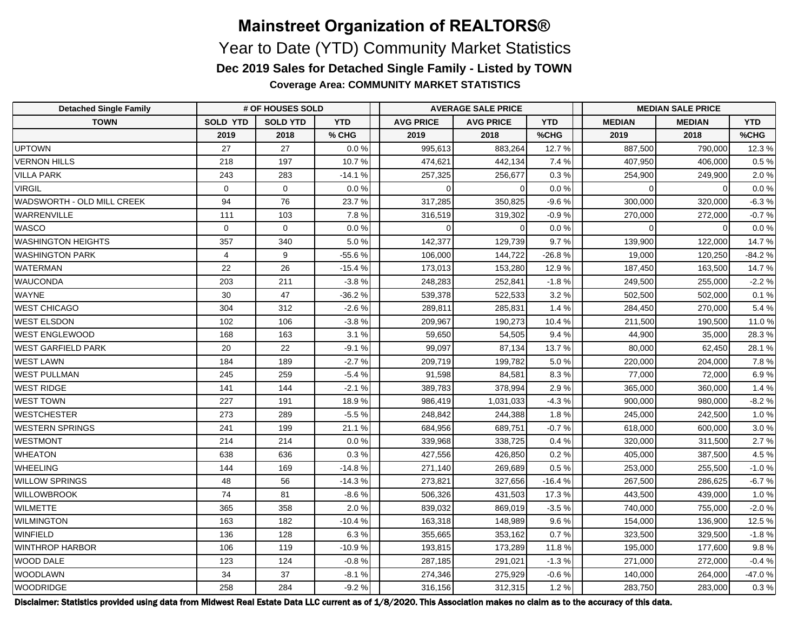**Coverage Area: COMMUNITY MARKET STATISTICS**

| <b>Detached Single Family</b> | # OF HOUSES SOLD |                 |            | <b>AVERAGE SALE PRICE</b> |                  |            | <b>MEDIAN SALE PRICE</b> |               |            |
|-------------------------------|------------------|-----------------|------------|---------------------------|------------------|------------|--------------------------|---------------|------------|
| <b>TOWN</b>                   | <b>SOLD YTD</b>  | <b>SOLD YTD</b> | <b>YTD</b> | <b>AVG PRICE</b>          | <b>AVG PRICE</b> | <b>YTD</b> | <b>MEDIAN</b>            | <b>MEDIAN</b> | <b>YTD</b> |
|                               | 2019             | 2018            | % CHG      | 2019                      | 2018             | %CHG       | 2019                     | 2018          | %CHG       |
| <b>UPTOWN</b>                 | 27               | 27              | 0.0%       | 995,613                   | 883,264          | 12.7%      | 887,500                  | 790,000       | 12.3%      |
| <b>VERNON HILLS</b>           | 218              | 197             | 10.7%      | 474,621                   | 442,134          | 7.4%       | 407,950                  | 406,000       | $0.5\,\%$  |
| <b>VILLA PARK</b>             | 243              | 283             | $-14.1%$   | 257,325                   | 256,677          | 0.3%       | 254,900                  | 249,900       | 2.0%       |
| <b>VIRGIL</b>                 | $\mathbf 0$      | $\mathbf 0$     | 0.0%       | $\Omega$                  | $\Omega$         | 0.0%       | $\Omega$                 | $\Omega$      | $0.0 \%$   |
| WADSWORTH - OLD MILL CREEK    | 94               | 76              | 23.7%      | 317,285                   | 350,825          | $-9.6%$    | 300,000                  | 320.000       | $-6.3%$    |
| WARRENVILLE                   | 111              | 103             | 7.8%       | 316,519                   | 319,302          | $-0.9%$    | 270,000                  | 272,000       | $-0.7%$    |
| <b>WASCO</b>                  | $\mathbf 0$      | $\mathbf 0$     | 0.0%       | $\Omega$                  | $\Omega$         | 0.0 %      | $\Omega$                 | $\Omega$      | $0.0 \%$   |
| <b>WASHINGTON HEIGHTS</b>     | 357              | 340             | 5.0%       | 142,377                   | 129,739          | 9.7%       | 139,900                  | 122,000       | 14.7 %     |
| <b>WASHINGTON PARK</b>        | $\overline{4}$   | 9               | $-55.6%$   | 106,000                   | 144,722          | $-26.8%$   | 19,000                   | 120,250       | $-84.2%$   |
| <b>WATERMAN</b>               | 22               | 26              | $-15.4%$   | 173,013                   | 153,280          | 12.9%      | 187,450                  | 163,500       | 14.7 %     |
| <b>WAUCONDA</b>               | 203              | 211             | $-3.8%$    | 248,283                   | 252,841          | $-1.8%$    | 249,500                  | 255,000       | $-2.2%$    |
| WAYNE                         | 30               | 47              | $-36.2%$   | 539,378                   | 522,533          | 3.2%       | 502,500                  | 502,000       | 0.1 %      |
| <b>WEST CHICAGO</b>           | 304              | 312             | $-2.6%$    | 289,811                   | 285,831          | 1.4%       | 284,450                  | 270,000       | 5.4%       |
| <b>WEST ELSDON</b>            | 102              | 106             | $-3.8%$    | 209,967                   | 190,273          | 10.4%      | 211,500                  | 190.500       | 11.0 %     |
| <b>WEST ENGLEWOOD</b>         | 168              | 163             | 3.1%       | 59,650                    | 54,505           | 9.4%       | 44,900                   | 35,000        | 28.3%      |
| <b>WEST GARFIELD PARK</b>     | 20               | 22              | $-9.1%$    | 99,097                    | 87,134           | 13.7%      | 80,000                   | 62,450        | 28.1 %     |
| <b>WEST LAWN</b>              | 184              | 189             | $-2.7%$    | 209,719                   | 199,782          | 5.0%       | 220,000                  | 204,000       | 7.8%       |
| <b>WEST PULLMAN</b>           | 245              | 259             | $-5.4%$    | 91,598                    | 84,581           | 8.3%       | 77,000                   | 72,000        | 6.9%       |
| <b>WEST RIDGE</b>             | 141              | 144             | $-2.1%$    | 389,783                   | 378,994          | 2.9%       | 365,000                  | 360,000       | 1.4%       |
| <b>WEST TOWN</b>              | 227              | 191             | 18.9%      | 986,419                   | 1,031,033        | $-4.3%$    | 900,000                  | 980,000       | $-8.2%$    |
| <b>WESTCHESTER</b>            | 273              | 289             | $-5.5%$    | 248,842                   | 244,388          | 1.8%       | 245,000                  | 242,500       | 1.0%       |
| <b>WESTERN SPRINGS</b>        | 241              | 199             | 21.1%      | 684,956                   | 689,751          | $-0.7%$    | 618,000                  | 600,000       | 3.0%       |
| <b>WESTMONT</b>               | 214              | 214             | 0.0%       | 339,968                   | 338,725          | 0.4%       | 320,000                  | 311,500       | 2.7%       |
| <b>WHEATON</b>                | 638              | 636             | 0.3%       | 427,556                   | 426,850          | 0.2%       | 405,000                  | 387,500       | 4.5%       |
| WHEELING                      | 144              | 169             | $-14.8%$   | 271,140                   | 269,689          | 0.5%       | 253,000                  | 255,500       | $-1.0%$    |
| <b>WILLOW SPRINGS</b>         | 48               | 56              | $-14.3%$   | 273,821                   | 327,656          | $-16.4%$   | 267,500                  | 286,625       | $-6.7%$    |
| <b>WILLOWBROOK</b>            | 74               | 81              | $-8.6%$    | 506,326                   | 431,503          | 17.3%      | 443,500                  | 439,000       | 1.0%       |
| <b>WILMETTE</b>               | 365              | 358             | 2.0%       | 839,032                   | 869,019          | $-3.5%$    | 740,000                  | 755,000       | $-2.0%$    |
| <b>WILMINGTON</b>             | 163              | 182             | $-10.4%$   | 163,318                   | 148,989          | 9.6%       | 154,000                  | 136,900       | 12.5%      |
| WINFIELD                      | 136              | 128             | 6.3%       | 355,665                   | 353,162          | 0.7%       | 323,500                  | 329,500       | $-1.8%$    |
| <b>WINTHROP HARBOR</b>        | 106              | 119             | $-10.9%$   | 193,815                   | 173,289          | 11.8%      | 195,000                  | 177,600       | 9.8%       |
| WOOD DALE                     | 123              | 124             | $-0.8%$    | 287,185                   | 291,021          | $-1.3%$    | 271,000                  | 272,000       | $-0.4%$    |
| <b>WOODLAWN</b>               | 34               | 37              | $-8.1%$    | 274,346                   | 275,929          | $-0.6%$    | 140,000                  | 264,000       | -47.0%     |
| <b>WOODRIDGE</b>              | 258              | 284             | $-9.2%$    | 316,156                   | 312,315          | 1.2%       | 283,750                  | 283,000       | 0.3%       |